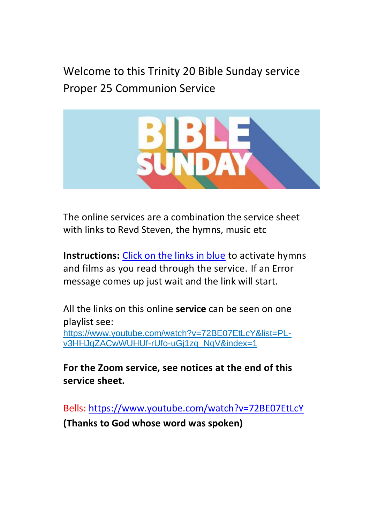Welcome to this Trinity 20 Bible Sunday service Proper 25 Communion Service



The online services are a combination the service sheet with links to Revd Steven, the hymns, music etc

**Instructions:** Click on the links in blue to activate hymns and films as you read through the service. If an Error message comes up just wait and the link will start.

All the links on this online **service** can be seen on one playlist see: https://www.youtube.com/watch?v=72BE07EtLcY&list=PL-

v3HHJqZACwWUHUf-rUfo-uGj1zg\_NqV&index=1

**For the Zoom service, see notices at the end of this service sheet.**

Bells[: https://www.youtube.com/watch?v=72BE07EtLcY](https://www.youtube.com/watch?v=72BE07EtLcY) **(Thanks to God whose word was spoken)**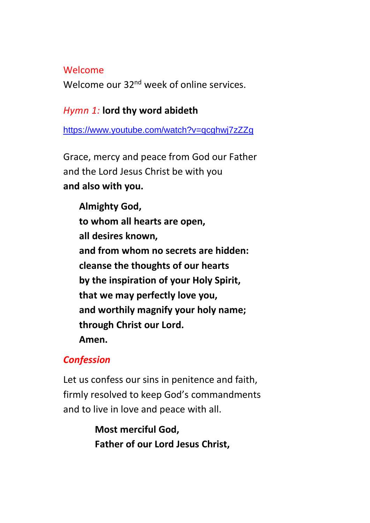### Welcome

Welcome our 32<sup>nd</sup> week of online services.

## *Hymn 1:* **lord thy word abideth**

<https://www.youtube.com/watch?v=qcghwj7zZZg>

Grace, mercy and peace from God our Father and the Lord Jesus Christ be with you **and also with you.**

**Almighty God, to whom all hearts are open, all desires known, and from whom no secrets are hidden: cleanse the thoughts of our hearts by the inspiration of your Holy Spirit, that we may perfectly love you, and worthily magnify your holy name; through Christ our Lord. Amen.**

# *Confession*

Let us confess our sins in penitence and faith, firmly resolved to keep God's commandments and to live in love and peace with all.

> **Most merciful God, Father of our Lord Jesus Christ,**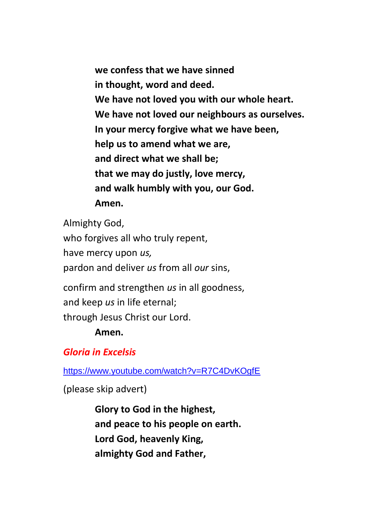**we confess that we have sinned in thought, word and deed. We have not loved you with our whole heart. We have not loved our neighbours as ourselves. In your mercy forgive what we have been, help us to amend what we are, and direct what we shall be; that we may do justly, love mercy, and walk humbly with you, our God. Amen.**

Almighty God, who forgives all who truly repent, have mercy upon *us,* pardon and deliver *us* from all *our* sins,

confirm and strengthen *us* in all goodness, and keep *us* in life eternal; through Jesus Christ our Lord.

### **Amen.**

## *Gloria in Excelsis*

<https://www.youtube.com/watch?v=R7C4DvKOgfE>

(please skip advert)

**Glory to God in the highest, and peace to his people on earth. Lord God, heavenly King, almighty God and Father,**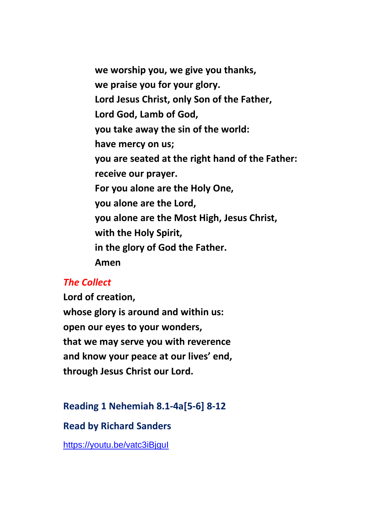**we worship you, we give you thanks, we praise you for your glory. Lord Jesus Christ, only Son of the Father, Lord God, Lamb of God, you take away the sin of the world: have mercy on us; you are seated at the right hand of the Father: receive our prayer. For you alone are the Holy One, you alone are the Lord, you alone are the Most High, Jesus Christ, with the Holy Spirit, in the glory of God the Father. Amen**

#### *The Collect*

**Lord of creation, whose glory is around and within us: open our eyes to your wonders, that we may serve you with reverence and know your peace at our lives' end, through Jesus Christ our Lord.**

### **Reading 1 Nehemiah 8.1-4a[5-6] 8-12**

**Read by Richard Sanders**

<https://youtu.be/vatc3iBjguI>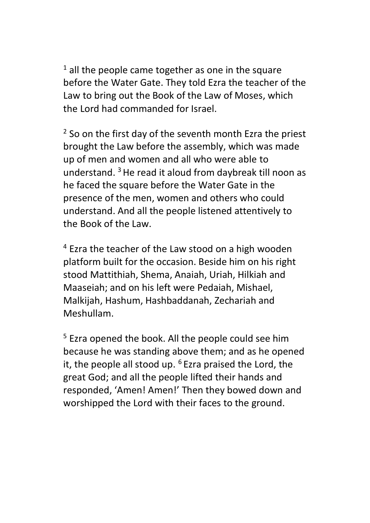$1$  all the people came together as one in the square before the Water Gate. They told Ezra the teacher of the Law to bring out the Book of the Law of Moses, which the Lord had commanded for Israel.

 $2$  So on the first day of the seventh month Ezra the priest brought the Law before the assembly, which was made up of men and women and all who were able to understand.  $3$  He read it aloud from daybreak till noon as he faced the square before the Water Gate in the presence of the men, women and others who could understand. And all the people listened attentively to the Book of the Law.

<sup>4</sup> Ezra the teacher of the Law stood on a high wooden platform built for the occasion. Beside him on his right stood Mattithiah, Shema, Anaiah, Uriah, Hilkiah and Maaseiah; and on his left were Pedaiah, Mishael, Malkijah, Hashum, Hashbaddanah, Zechariah and Meshullam.

<sup>5</sup> Ezra opened the book. All the people could see him because he was standing above them; and as he opened it, the people all stood up.  $6$  Ezra praised the Lord, the great God; and all the people lifted their hands and responded, 'Amen! Amen!' Then they bowed down and worshipped the Lord with their faces to the ground.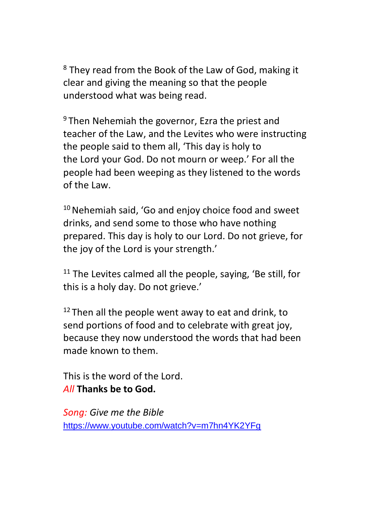<sup>8</sup> They read from the Book of the Law of God, making it clear and giving the meaning so that the people understood what was being read.

 $9$  Then Nehemiah the governor, Ezra the priest and teacher of the Law, and the Levites who were instructing the people said to them all, 'This day is holy to the Lord your God. Do not mourn or weep.' For all the people had been weeping as they listened to the words of the Law.

 $10$  Nehemiah said, 'Go and enjoy choice food and sweet drinks, and send some to those who have nothing prepared. This day is holy to our Lord. Do not grieve, for the joy of the Lord is your strength.'

 $11$  The Levites calmed all the people, saving, 'Be still, for this is a holy day. Do not grieve.'

 $12$  Then all the people went away to eat and drink, to send portions of food and to celebrate with great joy, because they now understood the words that had been made known to them.

This is the word of the Lord. *All* **Thanks be to God.**

*Song: Give me the Bible*  <https://www.youtube.com/watch?v=m7hn4YK2YFg>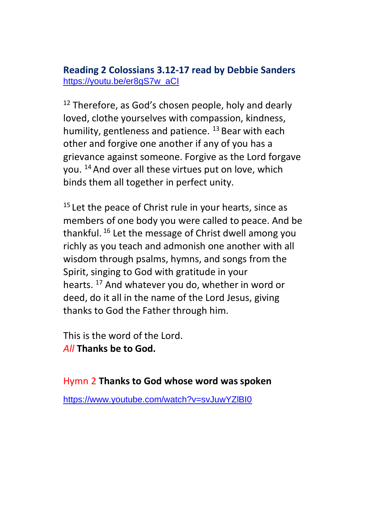## **Reading 2 Colossians 3.12-17 read by Debbie Sanders** [https://youtu.be/er8gS7w\\_aCI](https://youtu.be/er8gS7w_aCI)

 $12$  Therefore, as God's chosen people, holy and dearly loved, clothe yourselves with compassion, kindness, humility, gentleness and patience. <sup>13</sup> Bear with each other and forgive one another if any of you has a grievance against someone. Forgive as the Lord forgave you. <sup>14</sup> And over all these virtues put on love, which binds them all together in perfect unity.

 $15$  Let the peace of Christ rule in your hearts, since as members of one body you were called to peace. And be thankful. <sup>16</sup> Let the message of Christ dwell among you richly as you teach and admonish one another with all wisdom through psalms, hymns, and songs from the Spirit, singing to God with gratitude in your hearts. <sup>17</sup> And whatever you do, whether in word or deed, do it all in the name of the Lord Jesus, giving thanks to God the Father through him.

This is the word of the Lord. *All* **Thanks be to God.**

Hymn 2 **Thanks to God whose word was spoken**

<https://www.youtube.com/watch?v=svJuwYZlBI0>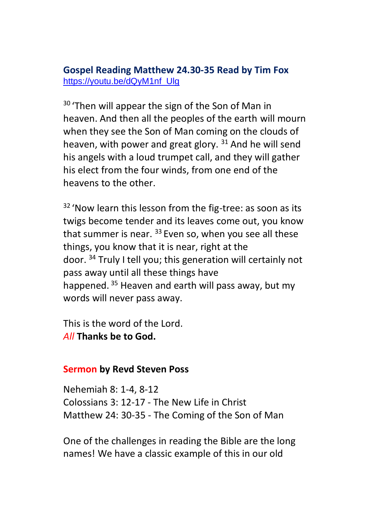## **Gospel Reading Matthew 24.30-35 Read by Tim Fox** [https://youtu.be/dQyM1nf\\_Ulg](https://youtu.be/dQyM1nf_Ulg)

<sup>30</sup> 'Then will appear the sign of the Son of Man in heaven. And then all the peoples of the earth will mourn when they see the Son of Man coming on the clouds of heaven, with power and great glory.  $31$  And he will send his angels with a loud trumpet call, and they will gather his elect from the four winds, from one end of the heavens to the other.

<sup>32</sup> 'Now learn this lesson from the fig-tree: as soon as its twigs become tender and its leaves come out, you know that summer is near.  $33$  Even so, when you see all these things, you know that it is near, right at the door. <sup>34</sup> Truly I tell you; this generation will certainly not pass away until all these things have happened. <sup>35</sup> Heaven and earth will pass away, but my words will never pass away.

This is the word of the Lord. *All* **Thanks be to God.**

### **Sermon by Revd Steven Poss**

Nehemiah 8: 1-4, 8-12 Colossians 3: 12-17 - The New Life in Christ Matthew 24: 30-35 - The Coming of the Son of Man

One of the challenges in reading the Bible are the long names! We have a classic example of this in our old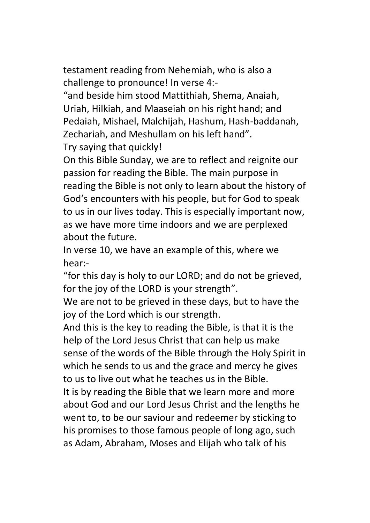testament reading from Nehemiah, who is also a challenge to pronounce! In verse 4:-

"and beside him stood Mattithiah, Shema, Anaiah, Uriah, Hilkiah, and Maaseiah on his right hand; and Pedaiah, Mishael, Malchijah, Hashum, Hash-baddanah, Zechariah, and Meshullam on his left hand". Try saying that quickly!

On this Bible Sunday, we are to reflect and reignite our passion for reading the Bible. The main purpose in reading the Bible is not only to learn about the history of God's encounters with his people, but for God to speak to us in our lives today. This is especially important now, as we have more time indoors and we are perplexed about the future.

In verse 10, we have an example of this, where we hear:-

"for this day is holy to our LORD; and do not be grieved, for the joy of the LORD is your strength".

We are not to be grieved in these days, but to have the joy of the Lord which is our strength.

And this is the key to reading the Bible, is that it is the help of the Lord Jesus Christ that can help us make sense of the words of the Bible through the Holy Spirit in which he sends to us and the grace and mercy he gives to us to live out what he teaches us in the Bible.

It is by reading the Bible that we learn more and more about God and our Lord Jesus Christ and the lengths he went to, to be our saviour and redeemer by sticking to his promises to those famous people of long ago, such as Adam, Abraham, Moses and Elijah who talk of his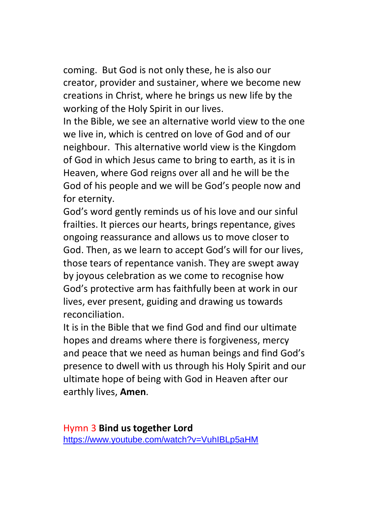coming. But God is not only these, he is also our creator, provider and sustainer, where we become new creations in Christ, where he brings us new life by the working of the Holy Spirit in our lives.

In the Bible, we see an alternative world view to the one we live in, which is centred on love of God and of our neighbour. This alternative world view is the Kingdom of God in which Jesus came to bring to earth, as it is in Heaven, where God reigns over all and he will be the God of his people and we will be God's people now and for eternity.

God's word gently reminds us of his love and our sinful frailties. It pierces our hearts, brings repentance, gives ongoing reassurance and allows us to move closer to God. Then, as we learn to accept God's will for our lives, those tears of repentance vanish. They are swept away by joyous celebration as we come to recognise how God's protective arm has faithfully been at work in our lives, ever present, guiding and drawing us towards reconciliation.

It is in the Bible that we find God and find our ultimate hopes and dreams where there is forgiveness, mercy and peace that we need as human beings and find God's presence to dwell with us through his Holy Spirit and our ultimate hope of being with God in Heaven after our earthly lives, **Amen**.

Hymn 3 **Bind us together Lord** <https://www.youtube.com/watch?v=VuhIBLp5aHM>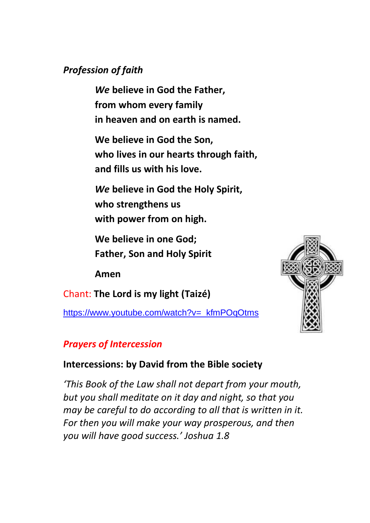## *Profession of faith*

*We* **believe in God the Father, from whom every family in heaven and on earth is named.**

**We believe in God the Son, who lives in our hearts through faith, and fills us with his love.**

*We* **believe in God the Holy Spirit, who strengthens us with power from on high.**

**We believe in one God; Father, Son and Holy Spirit** 

**Amen**

Chant: **The Lord is my light (Taizé)**

[https://www.youtube.com/watch?v=\\_kfmPOqOtms](https://www.youtube.com/watch?v=_kfmPOqOtms)



## *Prayers of Intercession*

## **Intercessions: by David from the Bible society**

*'This Book of the Law shall not depart from your mouth, but you shall meditate on it day and night, so that you may be careful to do according to all that is written in it. For then you will make your way prosperous, and then you will have good success.' Joshua 1.8*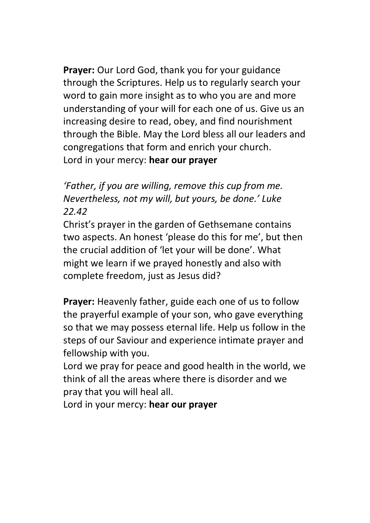**Prayer:** Our Lord God, thank you for your guidance through the Scriptures. Help us to regularly search your word to gain more insight as to who you are and more understanding of your will for each one of us. Give us an increasing desire to read, obey, and find nourishment through the Bible. May the Lord bless all our leaders and congregations that form and enrich your church. Lord in your mercy: **hear our prayer**

*'Father, if you are willing, remove this cup from me. Nevertheless, not my will, but yours, be done.' Luke 22.42*

Christ's prayer in the garden of Gethsemane contains two aspects. An honest 'please do this for me', but then the crucial addition of 'let your will be done'. What might we learn if we prayed honestly and also with complete freedom, just as Jesus did?

**Prayer:** Heavenly father, guide each one of us to follow the prayerful example of your son, who gave everything so that we may possess eternal life. Help us follow in the steps of our Saviour and experience intimate prayer and fellowship with you.

Lord we pray for peace and good health in the world, we think of all the areas where there is disorder and we pray that you will heal all.

Lord in your mercy: **hear our prayer**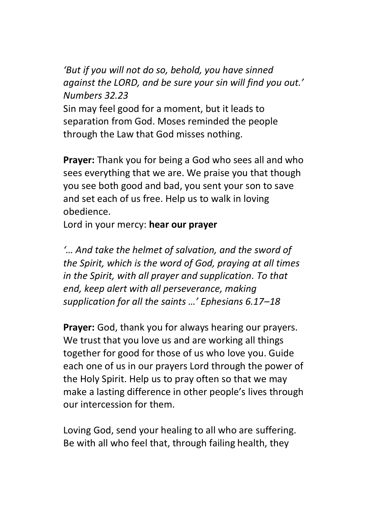*'But if you will not do so, behold, you have sinned against the LORD, and be sure your sin will find you out.' Numbers 32.23*

Sin may feel good for a moment, but it leads to separation from God. Moses reminded the people through the Law that God misses nothing.

**Prayer:** Thank you for being a God who sees all and who sees everything that we are. We praise you that though you see both good and bad, you sent your son to save and set each of us free. Help us to walk in loving obedience.

Lord in your mercy: **hear our prayer**

*'… And take the helmet of salvation, and the sword of the Spirit, which is the word of God, praying at all times in the Spirit, with all prayer and supplication. To that end, keep alert with all perseverance, making supplication for all the saints …' Ephesians 6.17–18*

**Prayer:** God, thank you for always hearing our prayers. We trust that you love us and are working all things together for good for those of us who love you. Guide each one of us in our prayers Lord through the power of the Holy Spirit. Help us to pray often so that we may make a lasting difference in other people's lives through our intercession for them.

Loving God, send your healing to all who are suffering. Be with all who feel that, through failing health, they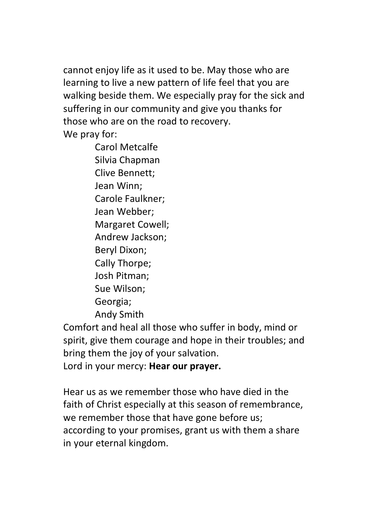cannot enjoy life as it used to be. May those who are learning to live a new pattern of life feel that you are walking beside them. We especially pray for the sick and suffering in our community and give you thanks for those who are on the road to recovery.

We pray for:

Carol Metcalfe Silvia Chapman Clive Bennett; Jean Winn; Carole Faulkner; Jean Webber; Margaret Cowell; Andrew Jackson; Beryl Dixon; Cally Thorpe; Josh Pitman; Sue Wilson; Georgia; Andy Smith

Comfort and heal all those who suffer in body, mind or spirit, give them courage and hope in their troubles; and bring them the joy of your salvation.

Lord in your mercy: **Hear our prayer.**

Hear us as we remember those who have died in the faith of Christ especially at this season of remembrance, we remember those that have gone before us; according to your promises, grant us with them a share in your eternal kingdom.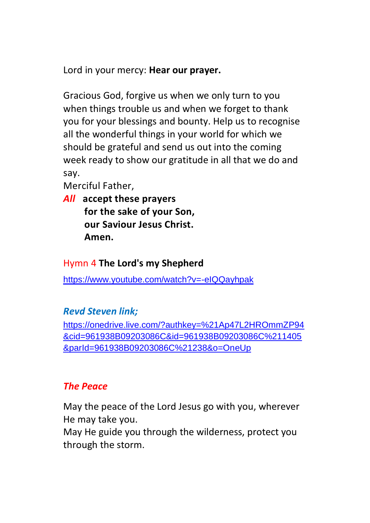Lord in your mercy: **Hear our prayer.**

Gracious God, forgive us when we only turn to you when things trouble us and when we forget to thank you for your blessings and bounty. Help us to recognise all the wonderful things in your world for which we should be grateful and send us out into the coming week ready to show our gratitude in all that we do and say.

Merciful Father,

*All* **accept these prayers for the sake of your Son, our Saviour Jesus Christ. Amen.**

## Hymn 4 **The Lord's my Shepherd**

<https://www.youtube.com/watch?v=-eIQQayhpak>

# *Revd Steven link;*

https://onedrive.live.com/?authkey=%21Ap47L2HROmmZP94 &cid=961938B09203086C&id=961938B09203086C%211405 &parId=961938B09203086C%21238&o=OneUp

# *The Peace*

May the peace of the Lord Jesus go with you, wherever He may take you.

May He guide you through the wilderness, protect you through the storm.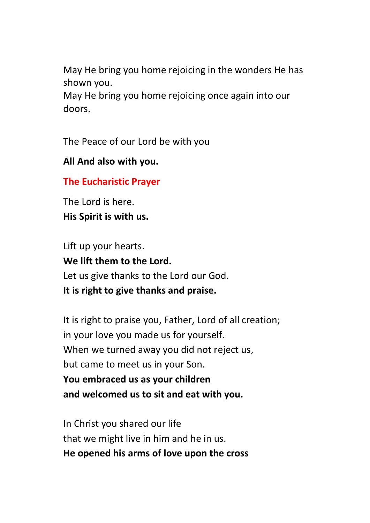May He bring you home rejoicing in the wonders He has shown you.

May He bring you home rejoicing once again into our doors.

The Peace of our Lord be with you

**All And also with you.**

**The Eucharistic Prayer**

The Lord is here. **His Spirit is with us.**

Lift up your hearts. **We lift them to the Lord.** Let us give thanks to the Lord our God. **It is right to give thanks and praise.**

It is right to praise you, Father, Lord of all creation; in your love you made us for yourself. When we turned away you did not reject us, but came to meet us in your Son. **You embraced us as your children and welcomed us to sit and eat with you.**

In Christ you shared our life that we might live in him and he in us. **He opened his arms of love upon the cross**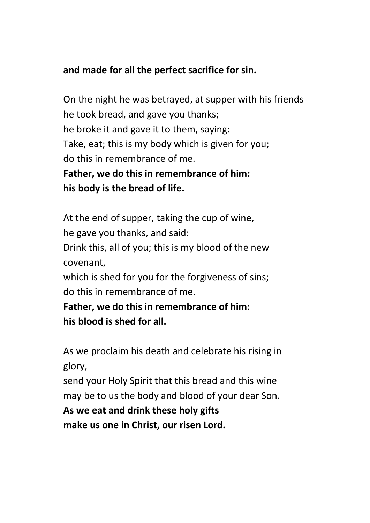## **and made for all the perfect sacrifice for sin.**

On the night he was betrayed, at supper with his friends he took bread, and gave you thanks; he broke it and gave it to them, saying: Take, eat; this is my body which is given for you; do this in remembrance of me.

**Father, we do this in remembrance of him: his body is the bread of life.**

At the end of supper, taking the cup of wine, he gave you thanks, and said: Drink this, all of you; this is my blood of the new covenant, which is shed for you for the forgiveness of sins; do this in remembrance of me. **Father, we do this in remembrance of him:**

**his blood is shed for all.**

As we proclaim his death and celebrate his rising in glory,

send your Holy Spirit that this bread and this wine may be to us the body and blood of your dear Son.

**As we eat and drink these holy gifts make us one in Christ, our risen Lord.**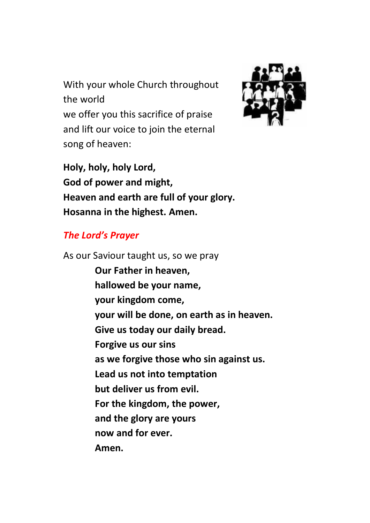With your whole Church throughout the world we offer you this sacrifice of praise and lift our voice to join the eternal song of heaven:



**Holy, holy, holy Lord, God of power and might, Heaven and earth are full of your glory. Hosanna in the highest. Amen.**

### *The Lord's Prayer*

As our Saviour taught us, so we pray **Our Father in heaven, hallowed be your name, your kingdom come, your will be done, on earth as in heaven. Give us today our daily bread. Forgive us our sins as we forgive those who sin against us. Lead us not into temptation but deliver us from evil. For the kingdom, the power, and the glory are yours now and for ever. Amen.**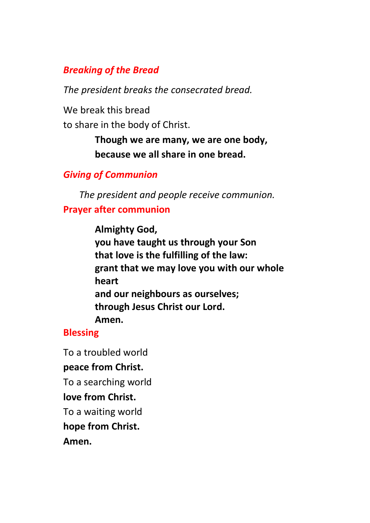## *Breaking of the Bread*

*The president breaks the consecrated bread.*

We break this bread

to share in the body of Christ.

**Though we are many, we are one body, because we all share in one bread.**

# *Giving of Communion*

*The president and people receive communion.*

## **Prayer after communion**

**Almighty God, you have taught us through your Son that love is the fulfilling of the law: grant that we may love you with our whole heart and our neighbours as ourselves; through Jesus Christ our Lord. Amen.**

# **Blessing**

To a troubled world **peace from Christ.** To a searching world **love from Christ.** To a waiting world **hope from Christ. Amen.**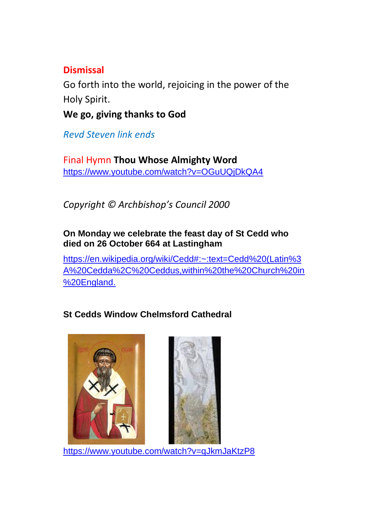## **Dismissal**

Go forth into the world, rejoicing in the power of the Holy Spirit.

**We go, giving thanks to God**

*Revd Steven link ends*

Final Hymn **Thou Whose Almighty Word** <https://www.youtube.com/watch?v=OGuUQjDkQA4>

*Copyright © Archbishop's Council 2000*

#### **On Monday we celebrate the feast day of St Cedd who died on 26 October 664 at Lastingham**

[https://en.wikipedia.org/wiki/Cedd#:~:text=Cedd%20\(Latin%3](https://en.wikipedia.org/wiki/Cedd#:~:text=Cedd%20(Latin%3A%20Cedda%2C%20Ceddus,within%20the%20Church%20in%20England) [A%20Cedda%2C%20Ceddus,within%20the%20Church%20in](https://en.wikipedia.org/wiki/Cedd#:~:text=Cedd%20(Latin%3A%20Cedda%2C%20Ceddus,within%20the%20Church%20in%20England) [%20England.](https://en.wikipedia.org/wiki/Cedd#:~:text=Cedd%20(Latin%3A%20Cedda%2C%20Ceddus,within%20the%20Church%20in%20England)

# **St Cedds Window Chelmsford Cathedral**



<https://www.youtube.com/watch?v=qJkmJaKtzP8>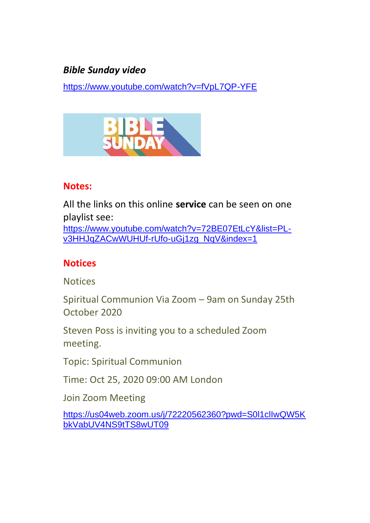## *Bible Sunday video*

<https://www.youtube.com/watch?v=fVpL7QP-YFE>



#### **Notes:**

All the links on this online **service** can be seen on one playlist see: [https://www.youtube.com/watch?v=72BE07EtLcY&list=PL](https://www.youtube.com/watch?v=72BE07EtLcY&list=PL-v3HHJqZACwWUHUf-rUfo-uGj1zg_NqV&index=1)[v3HHJqZACwWUHUf-rUfo-uGj1zg\\_NqV&index=1](https://www.youtube.com/watch?v=72BE07EtLcY&list=PL-v3HHJqZACwWUHUf-rUfo-uGj1zg_NqV&index=1)

### **Notices**

**Notices** 

Spiritual Communion Via Zoom – 9am on Sunday 25th October 2020

Steven Poss is inviting you to a scheduled Zoom meeting.

Topic: Spiritual Communion

Time: Oct 25, 2020 09:00 AM London

Join Zoom Meeting

[https://us04web.zoom.us/j/72220562360?pwd=S0l1clIwQW5K](https://us04web.zoom.us/j/72220562360?pwd=S0l1clIwQW5KbkVabUV4NS9tTS8wUT09) [bkVabUV4NS9tTS8wUT09](https://us04web.zoom.us/j/72220562360?pwd=S0l1clIwQW5KbkVabUV4NS9tTS8wUT09)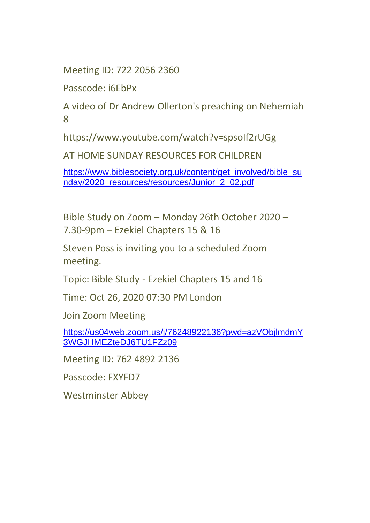Meeting ID: 722 2056 2360

Passcode: i6EbPx

A video of Dr Andrew Ollerton's preaching on Nehemiah 8

https://www.youtube.com/watch?v=spsoIf2rUGg

AT HOME SUNDAY RESOURCES FOR CHILDREN

[https://www.biblesociety.org.uk/content/get\\_involved/bible\\_su](https://www.biblesociety.org.uk/content/get_involved/bible_sunday/2020_resources/resources/Junior_2_02.pdf) [nday/2020\\_resources/resources/Junior\\_2\\_02.pdf](https://www.biblesociety.org.uk/content/get_involved/bible_sunday/2020_resources/resources/Junior_2_02.pdf)

Bible Study on Zoom – Monday 26th October 2020 – 7.30-9pm – Ezekiel Chapters 15 & 16

Steven Poss is inviting you to a scheduled Zoom meeting.

Topic: Bible Study - Ezekiel Chapters 15 and 16

Time: Oct 26, 2020 07:30 PM London

Join Zoom Meeting

[https://us04web.zoom.us/j/76248922136?pwd=azVObjlmdmY](https://us04web.zoom.us/j/76248922136?pwd=azVObjlmdmY3WGJHMEZteDJ6TU1FZz09) [3WGJHMEZteDJ6TU1FZz09](https://us04web.zoom.us/j/76248922136?pwd=azVObjlmdmY3WGJHMEZteDJ6TU1FZz09)

Meeting ID: 762 4892 2136

Passcode: FXYFD7

Westminster Abbey